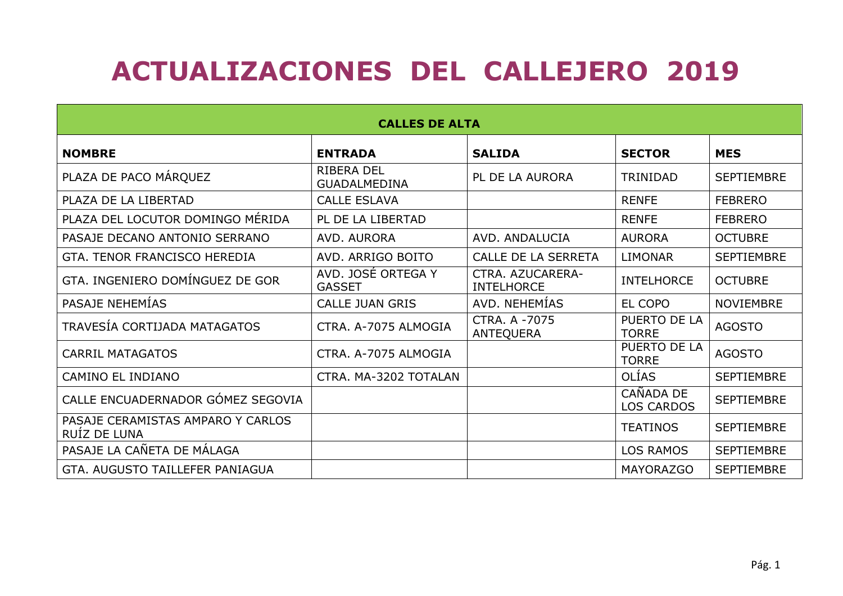## ACTUALIZACIONES DEL CALLEJERO 2019

| <b>CALLES DE ALTA</b>                             |                                          |                                       |                                |                   |  |  |
|---------------------------------------------------|------------------------------------------|---------------------------------------|--------------------------------|-------------------|--|--|
| <b>NOMBRE</b>                                     | <b>ENTRADA</b>                           | <b>SALIDA</b>                         | <b>SECTOR</b>                  | <b>MES</b>        |  |  |
| PLAZA DE PACO MÁRQUEZ                             | <b>RIBERA DEL</b><br><b>GUADALMEDINA</b> | PL DE LA AURORA                       | <b>TRINIDAD</b>                | <b>SEPTIEMBRE</b> |  |  |
| PLAZA DE LA LIBERTAD                              | <b>CALLE ESLAVA</b>                      |                                       | <b>RENFE</b>                   | <b>FEBRERO</b>    |  |  |
| PLAZA DEL LOCUTOR DOMINGO MÉRIDA                  | PL DE LA LIBERTAD                        |                                       | <b>RENFE</b>                   | <b>FEBRERO</b>    |  |  |
| PASAJE DECANO ANTONIO SERRANO                     | AVD. AURORA                              | AVD. ANDALUCIA                        | <b>AURORA</b>                  | <b>OCTUBRE</b>    |  |  |
| GTA. TENOR FRANCISCO HEREDIA                      | AVD. ARRIGO BOITO                        | CALLE DE LA SERRETA                   | <b>LIMONAR</b>                 | <b>SEPTIEMBRE</b> |  |  |
| GTA. INGENIERO DOMÍNGUEZ DE GOR                   | AVD. JOSÉ ORTEGA Y<br><b>GASSET</b>      | CTRA. AZUCARERA-<br><b>INTELHORCE</b> | <b>INTELHORCE</b>              | <b>OCTUBRE</b>    |  |  |
| PASAJE NEHEMÍAS                                   | <b>CALLE JUAN GRIS</b>                   | AVD. NEHEMÍAS                         | EL COPO                        | <b>NOVIEMBRE</b>  |  |  |
| TRAVESÍA CORTIJADA MATAGATOS                      | CTRA. A-7075 ALMOGIA                     | CTRA, A -7075<br><b>ANTEQUERA</b>     | PUERTO DE LA<br><b>TORRE</b>   | <b>AGOSTO</b>     |  |  |
| <b>CARRIL MATAGATOS</b>                           | CTRA. A-7075 ALMOGIA                     |                                       | PUERTO DE LA<br><b>TORRE</b>   | <b>AGOSTO</b>     |  |  |
| <b>CAMINO EL INDIANO</b>                          | CTRA. MA-3202 TOTALAN                    |                                       | <b>OLÍAS</b>                   | <b>SEPTIEMBRE</b> |  |  |
| CALLE ENCUADERNADOR GÓMEZ SEGOVIA                 |                                          |                                       | CAÑADA DE<br><b>LOS CARDOS</b> | <b>SEPTIEMBRE</b> |  |  |
| PASAJE CERAMISTAS AMPARO Y CARLOS<br>RUÍZ DE LUNA |                                          |                                       | <b>TEATINOS</b>                | <b>SEPTIEMBRE</b> |  |  |
| PASAJE LA CAÑETA DE MÁLAGA                        |                                          |                                       | <b>LOS RAMOS</b>               | <b>SEPTIEMBRE</b> |  |  |
| GTA, AUGUSTO TAILLEFER PANIAGUA                   |                                          |                                       | <b>MAYORAZGO</b>               | <b>SEPTIEMBRE</b> |  |  |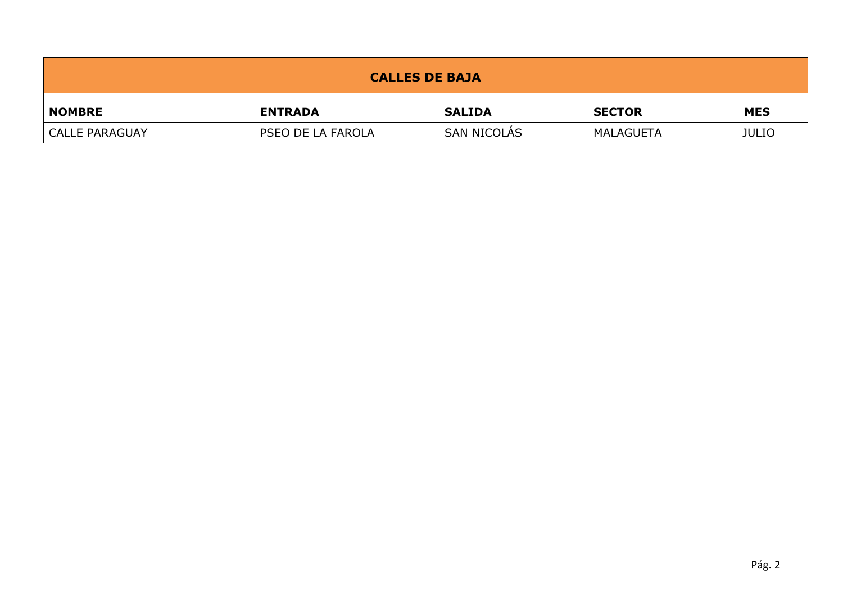| <b>CALLES DE BAJA</b> |                   |               |                  |              |  |  |
|-----------------------|-------------------|---------------|------------------|--------------|--|--|
| <b>NOMBRE</b>         | <b>ENTRADA</b>    | <b>SALIDA</b> | <b>SECTOR</b>    | <b>MES</b>   |  |  |
| <b>CALLE PARAGUAY</b> | PSEO DE LA FAROLA | SAN NICOLÁS   | <b>MALAGUETA</b> | <b>JULIO</b> |  |  |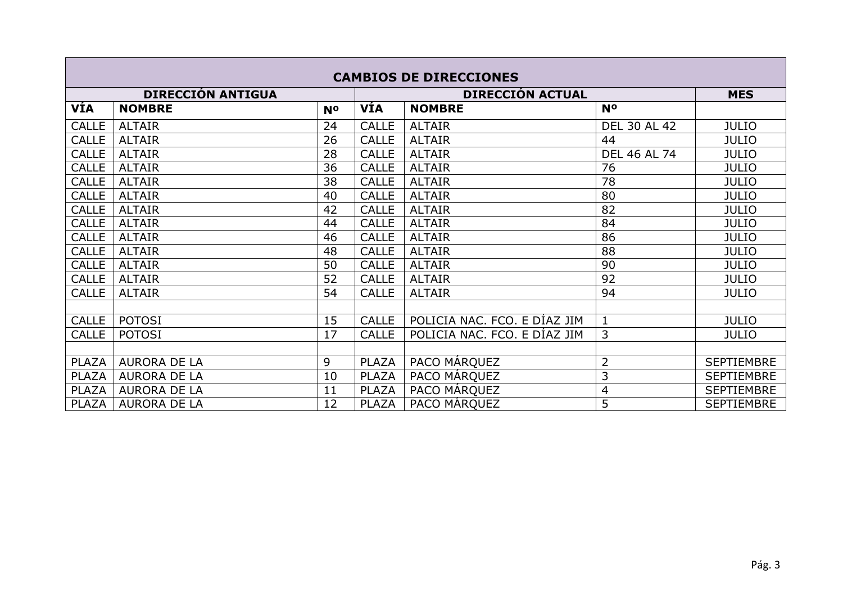| <b>CAMBIOS DE DIRECCIONES</b> |                          |                |                         |                              |                     |                   |
|-------------------------------|--------------------------|----------------|-------------------------|------------------------------|---------------------|-------------------|
|                               | <b>DIRECCIÓN ANTIGUA</b> |                | <b>DIRECCIÓN ACTUAL</b> |                              | <b>MES</b>          |                   |
| <b>VÍA</b>                    | <b>NOMBRE</b>            | N <sup>o</sup> | VÍA                     | <b>NOMBRE</b>                | <b>No</b>           |                   |
| <b>CALLE</b>                  | <b>ALTAIR</b>            | 24             | <b>CALLE</b>            | <b>ALTAIR</b>                | <b>DEL 30 AL 42</b> | <b>JULIO</b>      |
| <b>CALLE</b>                  | <b>ALTAIR</b>            | 26             | <b>CALLE</b>            | <b>ALTAIR</b>                | 44                  | <b>JULIO</b>      |
| <b>CALLE</b>                  | <b>ALTAIR</b>            | 28             | <b>CALLE</b>            | <b>ALTAIR</b>                | <b>DEL 46 AL 74</b> | <b>JULIO</b>      |
| <b>CALLE</b>                  | <b>ALTAIR</b>            | 36             | <b>CALLE</b>            | <b>ALTAIR</b>                | 76                  | <b>JULIO</b>      |
| <b>CALLE</b>                  | <b>ALTAIR</b>            | 38             | <b>CALLE</b>            | <b>ALTAIR</b>                | 78                  | <b>JULIO</b>      |
| <b>CALLE</b>                  | <b>ALTAIR</b>            | 40             | <b>CALLE</b>            | <b>ALTAIR</b>                | 80                  | <b>JULIO</b>      |
| <b>CALLE</b>                  | <b>ALTAIR</b>            | 42             | <b>CALLE</b>            | <b>ALTAIR</b>                | 82                  | <b>JULIO</b>      |
| <b>CALLE</b>                  | <b>ALTAIR</b>            | 44             | <b>CALLE</b>            | <b>ALTAIR</b>                | 84                  | <b>JULIO</b>      |
| <b>CALLE</b>                  | <b>ALTAIR</b>            | 46             | <b>CALLE</b>            | <b>ALTAIR</b>                | 86                  | <b>JULIO</b>      |
| <b>CALLE</b>                  | <b>ALTAIR</b>            | 48             | <b>CALLE</b>            | <b>ALTAIR</b>                | 88                  | <b>JULIO</b>      |
| <b>CALLE</b>                  | <b>ALTAIR</b>            | 50             | <b>CALLE</b>            | <b>ALTAIR</b>                | 90                  | <b>JULIO</b>      |
| <b>CALLE</b>                  | <b>ALTAIR</b>            | 52             | <b>CALLE</b>            | <b>ALTAIR</b>                | 92                  | <b>JULIO</b>      |
| <b>CALLE</b>                  | <b>ALTAIR</b>            | 54             | <b>CALLE</b>            | <b>ALTAIR</b>                | 94                  | <b>JULIO</b>      |
|                               |                          |                |                         |                              |                     |                   |
| <b>CALLE</b>                  | <b>POTOSI</b>            | 15             | <b>CALLE</b>            | POLICIA NAC. FCO. E DÍAZ JIM | $\mathbf{1}$        | <b>JULIO</b>      |
| <b>CALLE</b>                  | <b>POTOSI</b>            | 17             | <b>CALLE</b>            | POLICIA NAC. FCO. E DÍAZ JIM | 3                   | <b>JULIO</b>      |
|                               |                          |                |                         |                              |                     |                   |
| <b>PLAZA</b>                  | <b>AURORA DE LA</b>      | 9              | <b>PLAZA</b>            | PACO MÁRQUEZ                 | 2                   | <b>SEPTIEMBRE</b> |
| <b>PLAZA</b>                  | <b>AURORA DE LA</b>      | 10             | <b>PLAZA</b>            | PACO MÁRQUEZ                 | 3                   | <b>SEPTIEMBRE</b> |
| PLAZA                         | <b>AURORA DE LA</b>      | 11             | <b>PLAZA</b>            | PACO MÁRQUEZ                 | 4                   | <b>SEPTIEMBRE</b> |
| PLAZA                         | <b>AURORA DE LA</b>      | 12             | <b>PLAZA</b>            | PACO MÁRQUEZ                 | 5                   | <b>SEPTIEMBRE</b> |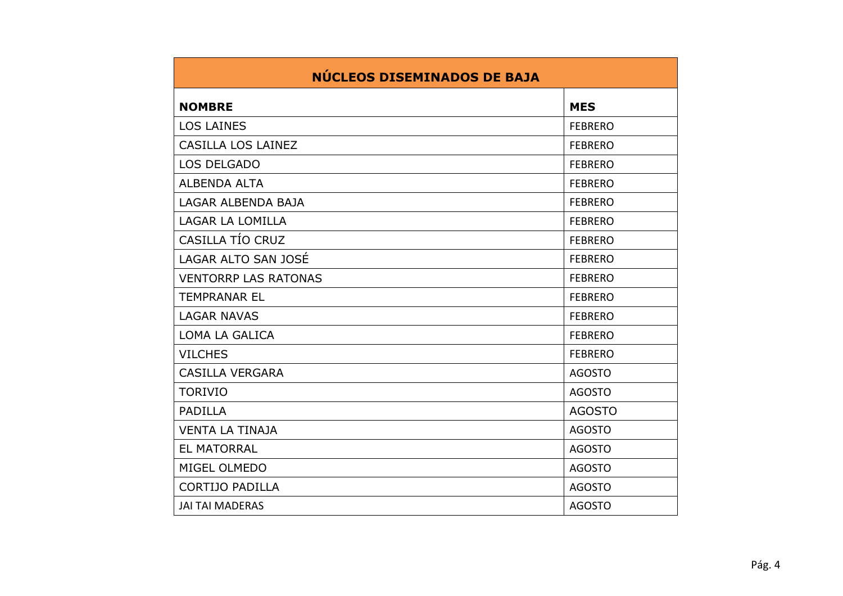| NÚCLEOS DISEMINADOS DE BAJA |                |  |  |  |
|-----------------------------|----------------|--|--|--|
| <b>NOMBRE</b>               | <b>MES</b>     |  |  |  |
| <b>LOS LAINES</b>           | <b>FEBRERO</b> |  |  |  |
| CASILLA LOS LAINEZ          | <b>FEBRERO</b> |  |  |  |
| <b>LOS DELGADO</b>          | <b>FEBRERO</b> |  |  |  |
| <b>ALBENDA ALTA</b>         | <b>FEBRERO</b> |  |  |  |
| LAGAR ALBENDA BAJA          | <b>FEBRERO</b> |  |  |  |
| LAGAR LA LOMILLA            | <b>FEBRERO</b> |  |  |  |
| CASILLA TÍO CRUZ            | <b>FEBRERO</b> |  |  |  |
| LAGAR ALTO SAN JOSÉ         | <b>FEBRERO</b> |  |  |  |
| <b>VENTORRP LAS RATONAS</b> | <b>FEBRERO</b> |  |  |  |
| <b>TEMPRANAR EL</b>         | <b>FEBRERO</b> |  |  |  |
| <b>LAGAR NAVAS</b>          | <b>FEBRERO</b> |  |  |  |
| LOMA LA GALICA              | <b>FEBRERO</b> |  |  |  |
| <b>VILCHES</b>              | <b>FEBRERO</b> |  |  |  |
| <b>CASILLA VERGARA</b>      | <b>AGOSTO</b>  |  |  |  |
| <b>TORIVIO</b>              | <b>AGOSTO</b>  |  |  |  |
| <b>PADILLA</b>              | <b>AGOSTO</b>  |  |  |  |
| <b>VENTA LA TINAJA</b>      | <b>AGOSTO</b>  |  |  |  |
| <b>EL MATORRAL</b>          | <b>AGOSTO</b>  |  |  |  |
| MIGEL OLMEDO                | <b>AGOSTO</b>  |  |  |  |
| <b>CORTIJO PADILLA</b>      | <b>AGOSTO</b>  |  |  |  |
| <b>JAI TAI MADERAS</b>      | <b>AGOSTO</b>  |  |  |  |